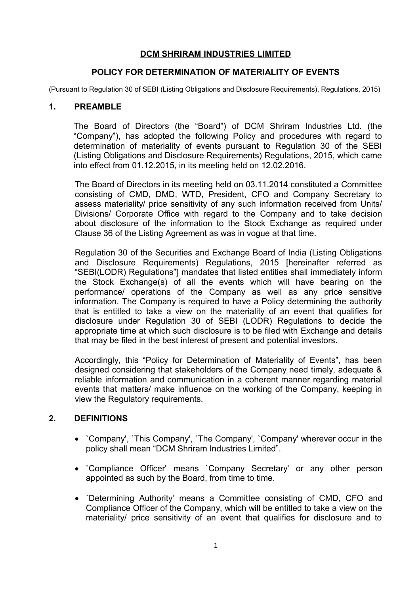# **DCM SHRIRAM INDUSTRIES LIMITED**

## **POLICY FOR DETERMINATION OF MATERIALITY OF EVENTS**

(Pursuant to Regulation 30 of SEBI (Listing Obligations and Disclosure Requirements), Regulations, 2015)

## **1. PREAMBLE**

The Board of Directors (the "Board") of DCM Shriram Industries Ltd. (the "Company"), has adopted the following Policy and procedures with regard to determination of materiality of events pursuant to Regulation 30 of the SEBI (Listing Obligations and Disclosure Requirements) Regulations, 2015, which came into effect from 01.12.2015, in its meeting held on 12.02.2016.

The Board of Directors in its meeting held on 03.11.2014 constituted a Committee consisting of CMD, DMD, WTD, President, CFO and Company Secretary to assess materiality/ price sensitivity of any such information received from Units/ Divisions/ Corporate Office with regard to the Company and to take decision about disclosure of the information to the Stock Exchange as required under Clause 36 of the Listing Agreement as was in vogue at that time.

Regulation 30 of the Securities and Exchange Board of India (Listing Obligations and Disclosure Requirements) Regulations, 2015 [hereinafter referred as "SEBI(LODR) Regulations"] mandates that listed entities shall immediately inform the Stock Exchange(s) of all the events which will have bearing on the performance/ operations of the Company as well as any price sensitive information. The Company is required to have a Policy determining the authority that is entitled to take a view on the materiality of an event that qualifies for disclosure under Regulation 30 of SEBI (LODR) Regulations to decide the appropriate time at which such disclosure is to be filed with Exchange and details that may be filed in the best interest of present and potential investors.

Accordingly, this "Policy for Determination of Materiality of Events", has been designed considering that stakeholders of the Company need timely, adequate & reliable information and communication in a coherent manner regarding material events that matters/ make influence on the working of the Company, keeping in view the Regulatory requirements.

# **2. DEFINITIONS**

- Company', `This Company', `The Company', `Company' wherever occur in the policy shall mean "DCM Shriram Industries Limited".
- Compliance Officer' means `Company Secretary' or any other person appointed as such by the Board, from time to time.
- `Determining Authority' means a Committee consisting of CMD, CFO and Compliance Officer of the Company, which will be entitled to take a view on the materiality/ price sensitivity of an event that qualifies for disclosure and to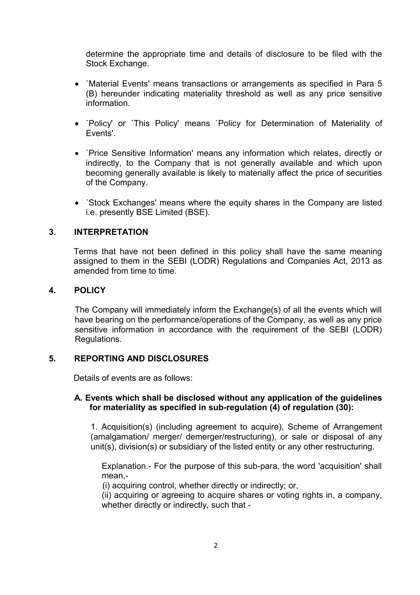determine the appropriate time and details of disclosure to be filed with the Stock Exchange.

- `Material Events' means transactions or arrangements as specified in Para 5 (B) hereunder indicating materiality threshold as well as any price sensitive information.
- `Policy' or `This Policy' means `Policy for Determination of Materiality of Events'.
- `Price Sensitive Information' means any information which relates, directly or indirectly, to the Company that is not generally available and which upon becoming generally available is likely to materially affect the price of securities of the Company.
- `Stock Exchanges' means where the equity shares in the Company are listed i.e. presently BSE Limited (BSE).

## **3. INTERPRETATION**

Terms that have not been defined in this policy shall have the same meaning assigned to them in the SEBI (LODR) Regulations and Companies Act, 2013 as amended from time to time.

### **4. POLICY**

The Company will immediately inform the Exchange(s) of all the events which will have bearing on the performance/operations of the Company, as well as any price sensitive information in accordance with the requirement of the SEBI (LODR) Regulations.

### **5. REPORTING AND DISCLOSURES**

Details of events are as follows:

## **A. Events which shall be disclosed without any application of the guidelines for materiality as specified in sub-regulation (4) of regulation (30):**

1. Acquisition(s) (including agreement to acquire), Scheme of Arrangement (amalgamation/ merger/ demerger/restructuring), or sale or disposal of any unit(s), division(s) or subsidiary of the listed entity or any other restructuring.

Explanation.- For the purpose of this sub-para, the word 'acquisition' shall mean,-

(i) acquiring control, whether directly or indirectly; or,

(ii) acquiring or agreeing to acquire shares or voting rights in, a company, whether directly or indirectly, such that -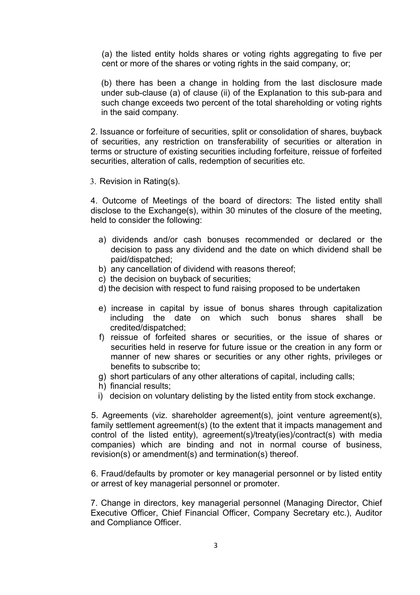(a) the listed entity holds shares or voting rights aggregating to five per cent or more of the shares or voting rights in the said company, or;

(b) there has been a change in holding from the last disclosure made under sub-clause (a) of clause (ii) of the Explanation to this sub-para and such change exceeds two percent of the total shareholding or voting rights in the said company.

2. Issuance or forfeiture of securities, split or consolidation of shares, buyback of securities, any restriction on transferability of securities or alteration in terms or structure of existing securities including forfeiture, reissue of forfeited securities, alteration of calls, redemption of securities etc.

3. Revision in Rating(s).

4. Outcome of Meetings of the board of directors: The listed entity shall disclose to the Exchange(s), within 30 minutes of the closure of the meeting, held to consider the following:

- a) dividends and/or cash bonuses recommended or declared or the decision to pass any dividend and the date on which dividend shall be paid/dispatched;
- b) any cancellation of dividend with reasons thereof;
- c) the decision on buyback of securities;
- d) the decision with respect to fund raising proposed to be undertaken
- e) increase in capital by issue of bonus shares through capitalization including the date on which such bonus shares shall be credited/dispatched;
- f) reissue of forfeited shares or securities, or the issue of shares or securities held in reserve for future issue or the creation in any form or manner of new shares or securities or any other rights, privileges or benefits to subscribe to;
- g) short particulars of any other alterations of capital, including calls;
- h) financial results;
- i) decision on voluntary delisting by the listed entity from stock exchange.

5. Agreements (viz. shareholder agreement(s), joint venture agreement(s), family settlement agreement(s) (to the extent that it impacts management and control of the listed entity), agreement(s)/treaty(ies)/contract(s) with media companies) which are binding and not in normal course of business, revision(s) or amendment(s) and termination(s) thereof.

6. Fraud/defaults by promoter or key managerial personnel or by listed entity or arrest of key managerial personnel or promoter.

7. Change in directors, key managerial personnel (Managing Director, Chief Executive Officer, Chief Financial Officer, Company Secretary etc.), Auditor and Compliance Officer.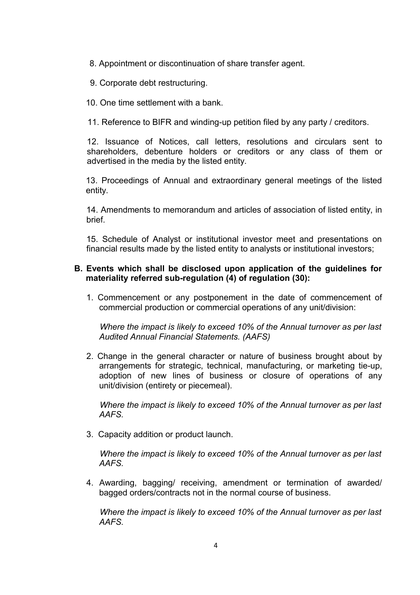- 8. Appointment or discontinuation of share transfer agent.
- 9. Corporate debt restructuring.
- 10. One time settlement with a bank.

11. Reference to BIFR and winding-up petition filed by any party / creditors.

12. Issuance of Notices, call letters, resolutions and circulars sent to shareholders, debenture holders or creditors or any class of them or advertised in the media by the listed entity.

13. Proceedings of Annual and extraordinary general meetings of the listed entity.

14. Amendments to memorandum and articles of association of listed entity, in brief.

15. Schedule of Analyst or institutional investor meet and presentations on financial results made by the listed entity to analysts or institutional investors;

## **B. Events which shall be disclosed upon application of the guidelines for materiality referred sub-regulation (4) of regulation (30):**

1. Commencement or any postponement in the date of commencement of commercial production or commercial operations of any unit/division:

*Where the impact is likely to exceed 10% of the Annual turnover as per last Audited Annual Financial Statements. (AAFS)* 

2. Change in the general character or nature of business brought about by arrangements for strategic, technical, manufacturing, or marketing tie-up, adoption of new lines of business or closure of operations of any unit/division (entirety or piecemeal).

*Where the impact is likely to exceed 10% of the Annual turnover as per last AAFS.* 

3. Capacity addition or product launch.

*Where the impact is likely to exceed 10% of the Annual turnover as per last AAFS.* 

4. Awarding, bagging/ receiving, amendment or termination of awarded/ bagged orders/contracts not in the normal course of business.

*Where the impact is likely to exceed 10% of the Annual turnover as per last AAFS.*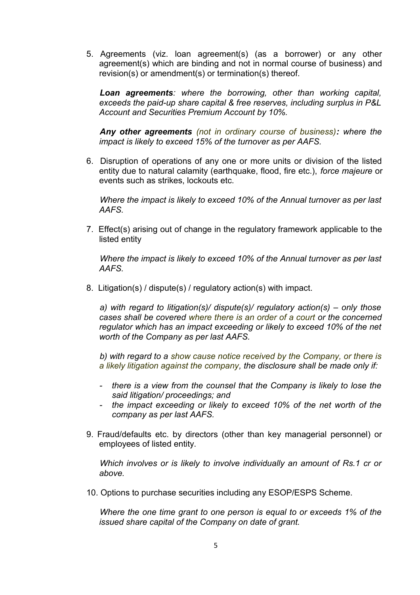5. Agreements (viz. loan agreement(s) (as a borrower) or any other agreement(s) which are binding and not in normal course of business) and revision(s) or amendment(s) or termination(s) thereof.

*Loan agreements: where the borrowing, other than working capital, exceeds the paid-up share capital & free reserves, including surplus in P&L Account and Securities Premium Account by 10%.* 

*Any other agreements (not in ordinary course of business): where the impact is likely to exceed 15% of the turnover as per AAFS.*

6. Disruption of operations of any one or more units or division of the listed entity due to natural calamity (earthquake, flood, fire etc.), *force majeure* or events such as strikes, lockouts etc.

*Where the impact is likely to exceed 10% of the Annual turnover as per last AAFS.* 

7. Effect(s) arising out of change in the regulatory framework applicable to the listed entity

*Where the impact is likely to exceed 10% of the Annual turnover as per last AAFS.* 

8. Litigation(s) / dispute(s) / regulatory action(s) with impact.

*a) with regard to litigation(s)/ dispute(s)/ regulatory action(s) – only those cases shall be covered where there is an order of a court or the concerned regulator which has an impact exceeding or likely to exceed 10% of the net worth of the Company as per last AAFS.*

*b) with regard to a show cause notice received by the Company, or there is a likely litigation against the company, the disclosure shall be made only if:*

- *there is a view from the counsel that the Company is likely to lose the said litigation/ proceedings; and*
- *the impact exceeding or likely to exceed 10% of the net worth of the company as per last AAFS.*
- 9. Fraud/defaults etc. by directors (other than key managerial personnel) or employees of listed entity.

*Which involves or is likely to involve individually an amount of Rs.1 cr or above.* 

10. Options to purchase securities including any ESOP/ESPS Scheme.

*Where the one time grant to one person is equal to or exceeds 1% of the issued share capital of the Company on date of grant.*